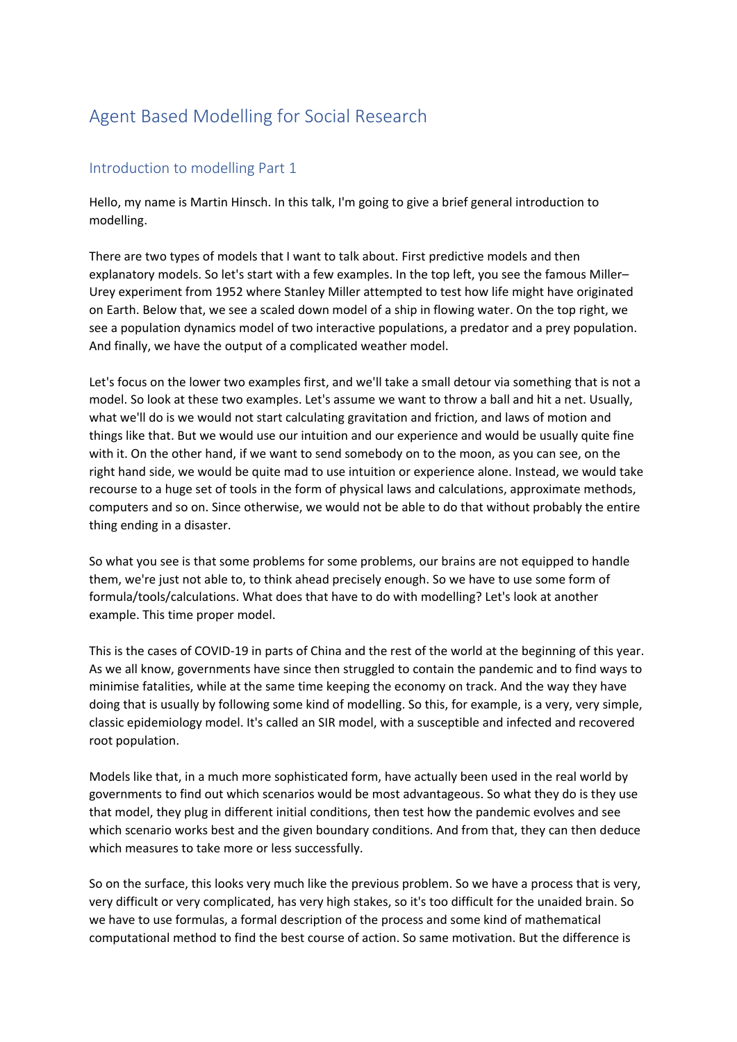## Agent Based Modelling for Social Research

## Introduction to modelling Part 1

Hello, my name is Martin Hinsch. In this talk, I'm going to give a brief general introduction to modelling.

There are two types of models that I want to talk about. First predictive models and then explanatory models. So let's start with a few examples. In the top left, you see the famous Miller– Urey experiment from 1952 where Stanley Miller attempted to test how life might have originated on Earth. Below that, we see a scaled down model of a ship in flowing water. On the top right, we see a population dynamics model of two interactive populations, a predator and a prey population. And finally, we have the output of a complicated weather model.

Let's focus on the lower two examples first, and we'll take a small detour via something that is not a model. So look at these two examples. Let's assume we want to throw a ball and hit a net. Usually, what we'll do is we would not start calculating gravitation and friction, and laws of motion and things like that. But we would use our intuition and our experience and would be usually quite fine with it. On the other hand, if we want to send somebody on to the moon, as you can see, on the right hand side, we would be quite mad to use intuition or experience alone. Instead, we would take recourse to a huge set of tools in the form of physical laws and calculations, approximate methods, computers and so on. Since otherwise, we would not be able to do that without probably the entire thing ending in a disaster.

So what you see is that some problems for some problems, our brains are not equipped to handle them, we're just not able to, to think ahead precisely enough. So we have to use some form of formula/tools/calculations. What does that have to do with modelling? Let's look at another example. This time proper model.

This is the cases of COVID-19 in parts of China and the rest of the world at the beginning of this year. As we all know, governments have since then struggled to contain the pandemic and to find ways to minimise fatalities, while at the same time keeping the economy on track. And the way they have doing that is usually by following some kind of modelling. So this, for example, is a very, very simple, classic epidemiology model. It's called an SIR model, with a susceptible and infected and recovered root population.

Models like that, in a much more sophisticated form, have actually been used in the real world by governments to find out which scenarios would be most advantageous. So what they do is they use that model, they plug in different initial conditions, then test how the pandemic evolves and see which scenario works best and the given boundary conditions. And from that, they can then deduce which measures to take more or less successfully.

So on the surface, this looks very much like the previous problem. So we have a process that is very, very difficult or very complicated, has very high stakes, so it's too difficult for the unaided brain. So we have to use formulas, a formal description of the process and some kind of mathematical computational method to find the best course of action. So same motivation. But the difference is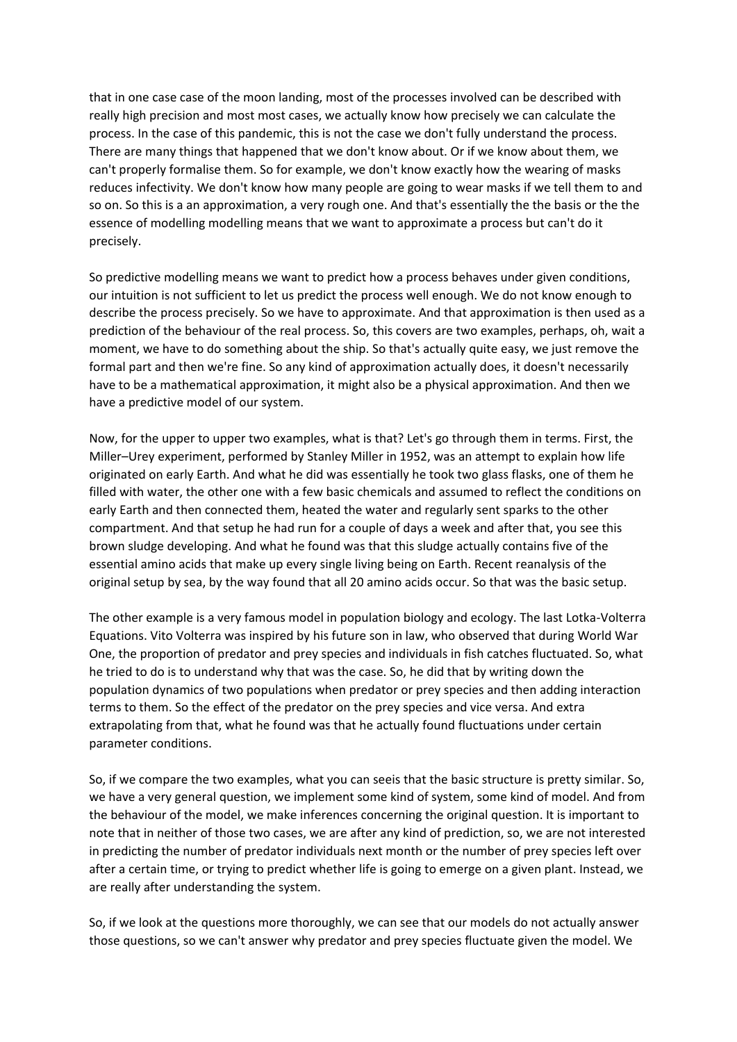that in one case case of the moon landing, most of the processes involved can be described with really high precision and most most cases, we actually know how precisely we can calculate the process. In the case of this pandemic, this is not the case we don't fully understand the process. There are many things that happened that we don't know about. Or if we know about them, we can't properly formalise them. So for example, we don't know exactly how the wearing of masks reduces infectivity. We don't know how many people are going to wear masks if we tell them to and so on. So this is a an approximation, a very rough one. And that's essentially the the basis or the the essence of modelling modelling means that we want to approximate a process but can't do it precisely.

So predictive modelling means we want to predict how a process behaves under given conditions, our intuition is not sufficient to let us predict the process well enough. We do not know enough to describe the process precisely. So we have to approximate. And that approximation is then used as a prediction of the behaviour of the real process. So, this covers are two examples, perhaps, oh, wait a moment, we have to do something about the ship. So that's actually quite easy, we just remove the formal part and then we're fine. So any kind of approximation actually does, it doesn't necessarily have to be a mathematical approximation, it might also be a physical approximation. And then we have a predictive model of our system.

Now, for the upper to upper two examples, what is that? Let's go through them in terms. First, the Miller–Urey experiment, performed by Stanley Miller in 1952, was an attempt to explain how life originated on early Earth. And what he did was essentially he took two glass flasks, one of them he filled with water, the other one with a few basic chemicals and assumed to reflect the conditions on early Earth and then connected them, heated the water and regularly sent sparks to the other compartment. And that setup he had run for a couple of days a week and after that, you see this brown sludge developing. And what he found was that this sludge actually contains five of the essential amino acids that make up every single living being on Earth. Recent reanalysis of the original setup by sea, by the way found that all 20 amino acids occur. So that was the basic setup.

The other example is a very famous model in population biology and ecology. The last Lotka-Volterra Equations. Vito Volterra was inspired by his future son in law, who observed that during World War One, the proportion of predator and prey species and individuals in fish catches fluctuated. So, what he tried to do is to understand why that was the case. So, he did that by writing down the population dynamics of two populations when predator or prey species and then adding interaction terms to them. So the effect of the predator on the prey species and vice versa. And extra extrapolating from that, what he found was that he actually found fluctuations under certain parameter conditions.

So, if we compare the two examples, what you can seeis that the basic structure is pretty similar. So, we have a very general question, we implement some kind of system, some kind of model. And from the behaviour of the model, we make inferences concerning the original question. It is important to note that in neither of those two cases, we are after any kind of prediction, so, we are not interested in predicting the number of predator individuals next month or the number of prey species left over after a certain time, or trying to predict whether life is going to emerge on a given plant. Instead, we are really after understanding the system.

So, if we look at the questions more thoroughly, we can see that our models do not actually answer those questions, so we can't answer why predator and prey species fluctuate given the model. We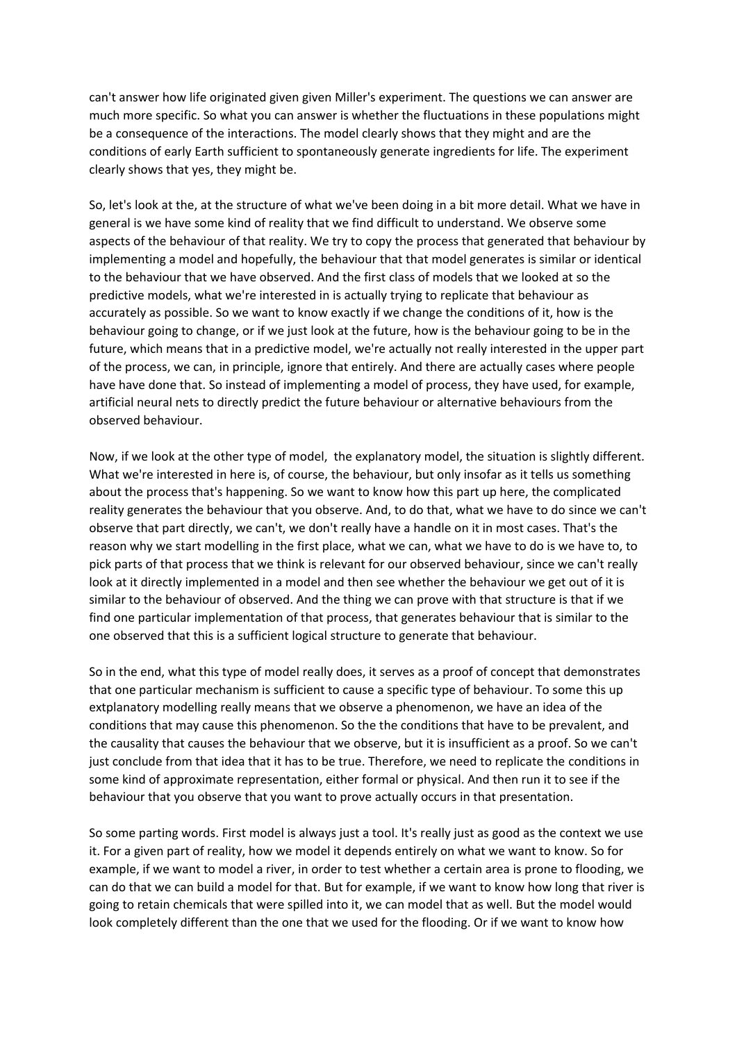can't answer how life originated given given Miller's experiment. The questions we can answer are much more specific. So what you can answer is whether the fluctuations in these populations might be a consequence of the interactions. The model clearly shows that they might and are the conditions of early Earth sufficient to spontaneously generate ingredients for life. The experiment clearly shows that yes, they might be.

So, let's look at the, at the structure of what we've been doing in a bit more detail. What we have in general is we have some kind of reality that we find difficult to understand. We observe some aspects of the behaviour of that reality. We try to copy the process that generated that behaviour by implementing a model and hopefully, the behaviour that that model generates is similar or identical to the behaviour that we have observed. And the first class of models that we looked at so the predictive models, what we're interested in is actually trying to replicate that behaviour as accurately as possible. So we want to know exactly if we change the conditions of it, how is the behaviour going to change, or if we just look at the future, how is the behaviour going to be in the future, which means that in a predictive model, we're actually not really interested in the upper part of the process, we can, in principle, ignore that entirely. And there are actually cases where people have have done that. So instead of implementing a model of process, they have used, for example, artificial neural nets to directly predict the future behaviour or alternative behaviours from the observed behaviour.

Now, if we look at the other type of model, the explanatory model, the situation is slightly different. What we're interested in here is, of course, the behaviour, but only insofar as it tells us something about the process that's happening. So we want to know how this part up here, the complicated reality generates the behaviour that you observe. And, to do that, what we have to do since we can't observe that part directly, we can't, we don't really have a handle on it in most cases. That's the reason why we start modelling in the first place, what we can, what we have to do is we have to, to pick parts of that process that we think is relevant for our observed behaviour, since we can't really look at it directly implemented in a model and then see whether the behaviour we get out of it is similar to the behaviour of observed. And the thing we can prove with that structure is that if we find one particular implementation of that process, that generates behaviour that is similar to the one observed that this is a sufficient logical structure to generate that behaviour.

So in the end, what this type of model really does, it serves as a proof of concept that demonstrates that one particular mechanism is sufficient to cause a specific type of behaviour. To some this up extplanatory modelling really means that we observe a phenomenon, we have an idea of the conditions that may cause this phenomenon. So the the conditions that have to be prevalent, and the causality that causes the behaviour that we observe, but it is insufficient as a proof. So we can't just conclude from that idea that it has to be true. Therefore, we need to replicate the conditions in some kind of approximate representation, either formal or physical. And then run it to see if the behaviour that you observe that you want to prove actually occurs in that presentation.

So some parting words. First model is always just a tool. It's really just as good as the context we use it. For a given part of reality, how we model it depends entirely on what we want to know. So for example, if we want to model a river, in order to test whether a certain area is prone to flooding, we can do that we can build a model for that. But for example, if we want to know how long that river is going to retain chemicals that were spilled into it, we can model that as well. But the model would look completely different than the one that we used for the flooding. Or if we want to know how